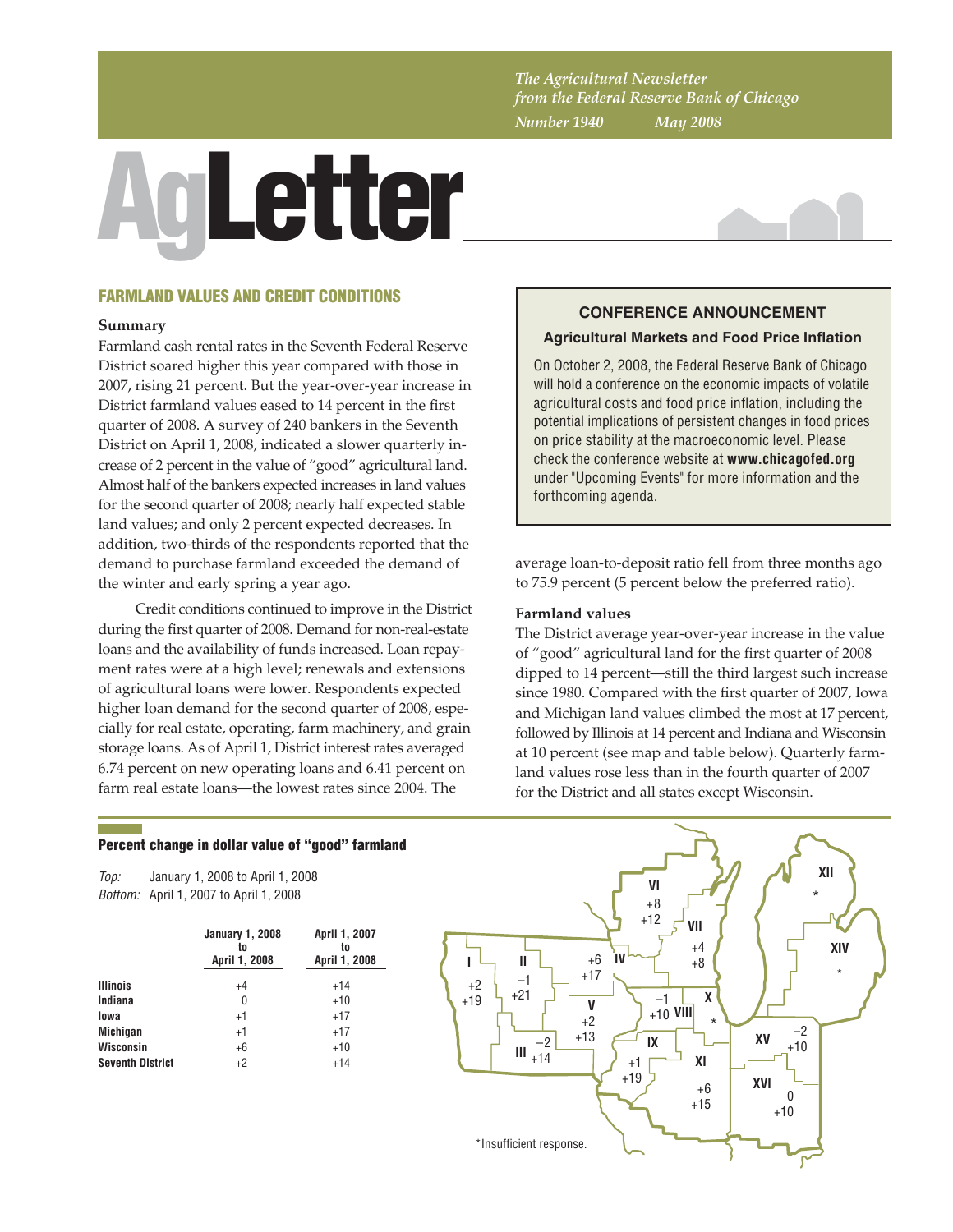*The Agricultural Newsletter from the Federal Reserve Bank of Chicago Number 1940 May 2008*

# AgLetter



# FARMLAND VALUES AND CREDIT CONDITIONS

#### **Summary**

Farmland cash rental rates in the Seventh Federal Reserve District soared higher this year compared with those in 2007, rising 21 percent. But the year-over-year increase in District farmland values eased to 14 percent in the first quarter of 2008. A survey of 240 bankers in the Seventh District on April 1, 2008, indicated a slower quarterly increase of 2 percent in the value of "good" agricultural land. Almost half of the bankers expected increases in land values for the second quarter of 2008; nearly half expected stable land values; and only 2 percent expected decreases. In addition, two-thirds of the respondents reported that the demand to purchase farmland exceeded the demand of the winter and early spring a year ago.

Credit conditions continued to improve in the District during the first quarter of 2008. Demand for non-real-estate loans and the availability of funds increased. Loan repayment rates were at a high level; renewals and extensions of agricultural loans were lower. Respondents expected higher loan demand for the second quarter of 2008, especially for real estate, operating, farm machinery, and grain storage loans. As of April 1, District interest rates averaged 6.74 percent on new operating loans and 6.41 percent on farm real estate loans—the lowest rates since 2004. The

# **CONFERENCE ANNOUNCEMENT Agricultural Markets and Food Price Inflation**

On October 2, 2008, the Federal Reserve Bank of Chicago will hold a conference on the economic impacts of volatile agricultural costs and food price inflation, including the potential implications of persistent changes in food prices on price stability at the macroeconomic level. Please check the conference website at **www.chicagofed.org** under "Upcoming Events" for more information and the forthcoming agenda.

average loan-to-deposit ratio fell from three months ago to 75.9 percent (5 percent below the preferred ratio).

## **Farmland values**

The District average year-over-year increase in the value of "good" agricultural land for the first quarter of 2008 dipped to 14 percent—still the third largest such increase since 1980. Compared with the first quarter of 2007, Iowa and Michigan land values climbed the most at 17 percent, followed by Illinois at 14 percent and Indiana and Wisconsin at 10 percent (see map and table below). Quarterly farmland values rose less than in the fourth quarter of 2007 for the District and all states except Wisconsin.

#### Percent change in dollar value of "good" farmland

*Top: Bottom:* April 1, 2007 to April 1, 2008 January 1, 2008 to April 1, 2008

|                         | <b>January 1, 2008</b><br>to<br>April 1, 2008 | April 1, 2007<br>to<br>April 1, 2008 |  |  |
|-------------------------|-----------------------------------------------|--------------------------------------|--|--|
| <b>Illinois</b>         | $+4$                                          | $+14$                                |  |  |
| Indiana                 | 0                                             | $+10$                                |  |  |
| lowa                    | $+1$                                          | $+17$                                |  |  |
| <b>Michigan</b>         | $+1$                                          | $+17$                                |  |  |
| Wisconsin               | $+6$                                          | $+10$                                |  |  |
| <b>Seventh District</b> | $+2$                                          | $+14$                                |  |  |

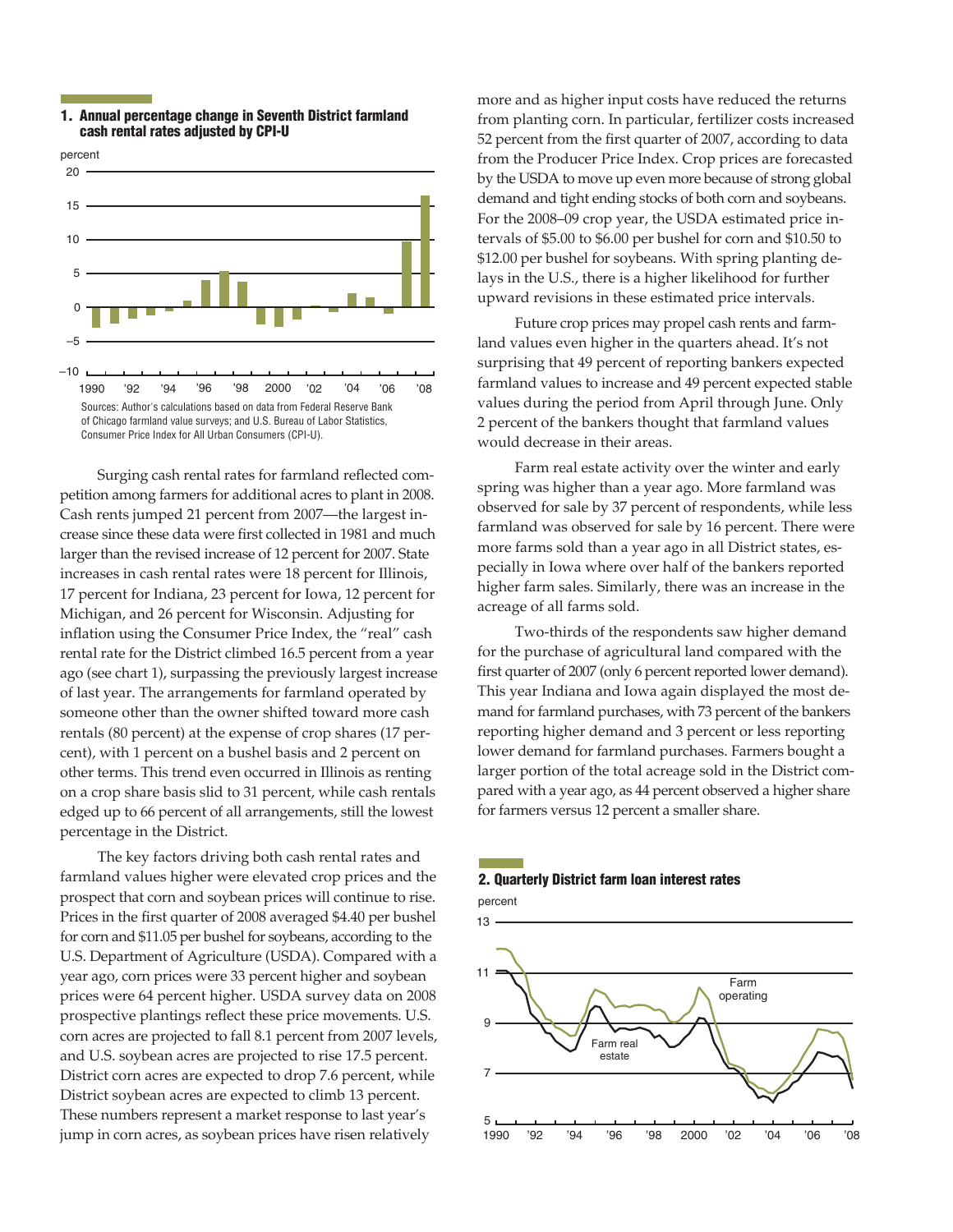

#### 1. Annual percentage change in Seventh District farmland cash rental rates adjusted by CPI-U

Surging cash rental rates for farmland reflected competition among farmers for additional acres to plant in 2008. Cash rents jumped 21 percent from 2007—the largest increase since these data were first collected in 1981 and much larger than the revised increase of 12 percent for 2007. State increases in cash rental rates were 18 percent for Illinois, 17 percent for Indiana, 23 percent for Iowa, 12 percent for Michigan, and 26 percent for Wisconsin. Adjusting for inflation using the Consumer Price Index, the "real" cash rental rate for the District climbed 16.5 percent from a year ago (see chart 1), surpassing the previously largest increase of last year. The arrangements for farmland operated by someone other than the owner shifted toward more cash rentals (80 percent) at the expense of crop shares (17 percent), with 1 percent on a bushel basis and 2 percent on other terms. This trend even occurred in Illinois as renting on a crop share basis slid to 31 percent, while cash rentals edged up to 66 percent of all arrangements, still the lowest percentage in the District.

The key factors driving both cash rental rates and farmland values higher were elevated crop prices and the prospect that corn and soybean prices will continue to rise. Prices in the first quarter of 2008 averaged \$4.40 per bushel for corn and \$11.05 per bushel for soybeans, according to the U.S. Department of Agriculture (USDA). Compared with a year ago, corn prices were 33 percent higher and soybean prices were 64 percent higher. USDA survey data on 2008 prospective plantings reflect these price movements. U.S. corn acres are projected to fall 8.1 percent from 2007 levels, and U.S. soybean acres are projected to rise 17.5 percent. District corn acres are expected to drop 7.6 percent, while District soybean acres are expected to climb 13 percent. These numbers represent a market response to last year's jump in corn acres, as soybean prices have risen relatively

more and as higher input costs have reduced the returns from planting corn. In particular, fertilizer costs increased 52 percent from the first quarter of 2007, according to data from the Producer Price Index. Crop prices are forecasted by the USDA to move up even more because of strong global demand and tight ending stocks of both corn and soybeans. For the 2008–09 crop year, the USDA estimated price intervals of \$5.00 to \$6.00 per bushel for corn and \$10.50 to \$12.00 per bushel for soybeans. With spring planting delays in the U.S., there is a higher likelihood for further upward revisions in these estimated price intervals.

Future crop prices may propel cash rents and farmland values even higher in the quarters ahead. It's not surprising that 49 percent of reporting bankers expected farmland values to increase and 49 percent expected stable values during the period from April through June. Only 2 percent of the bankers thought that farmland values would decrease in their areas.

Farm real estate activity over the winter and early spring was higher than a year ago. More farmland was observed for sale by 37 percent of respondents, while less farmland was observed for sale by 16 percent. There were more farms sold than a year ago in all District states, especially in Iowa where over half of the bankers reported higher farm sales. Similarly, there was an increase in the acreage of all farms sold.

Two-thirds of the respondents saw higher demand for the purchase of agricultural land compared with the first quarter of 2007 (only 6 percent reported lower demand). This year Indiana and Iowa again displayed the most demand for farmland purchases, with 73 percent of the bankers reporting higher demand and 3 percent or less reporting lower demand for farmland purchases. Farmers bought a larger portion of the total acreage sold in the District compared with a year ago, as 44 percent observed a higher share for farmers versus 12 percent a smaller share.

# 2. Quarterly District farm loan interest rates

percent

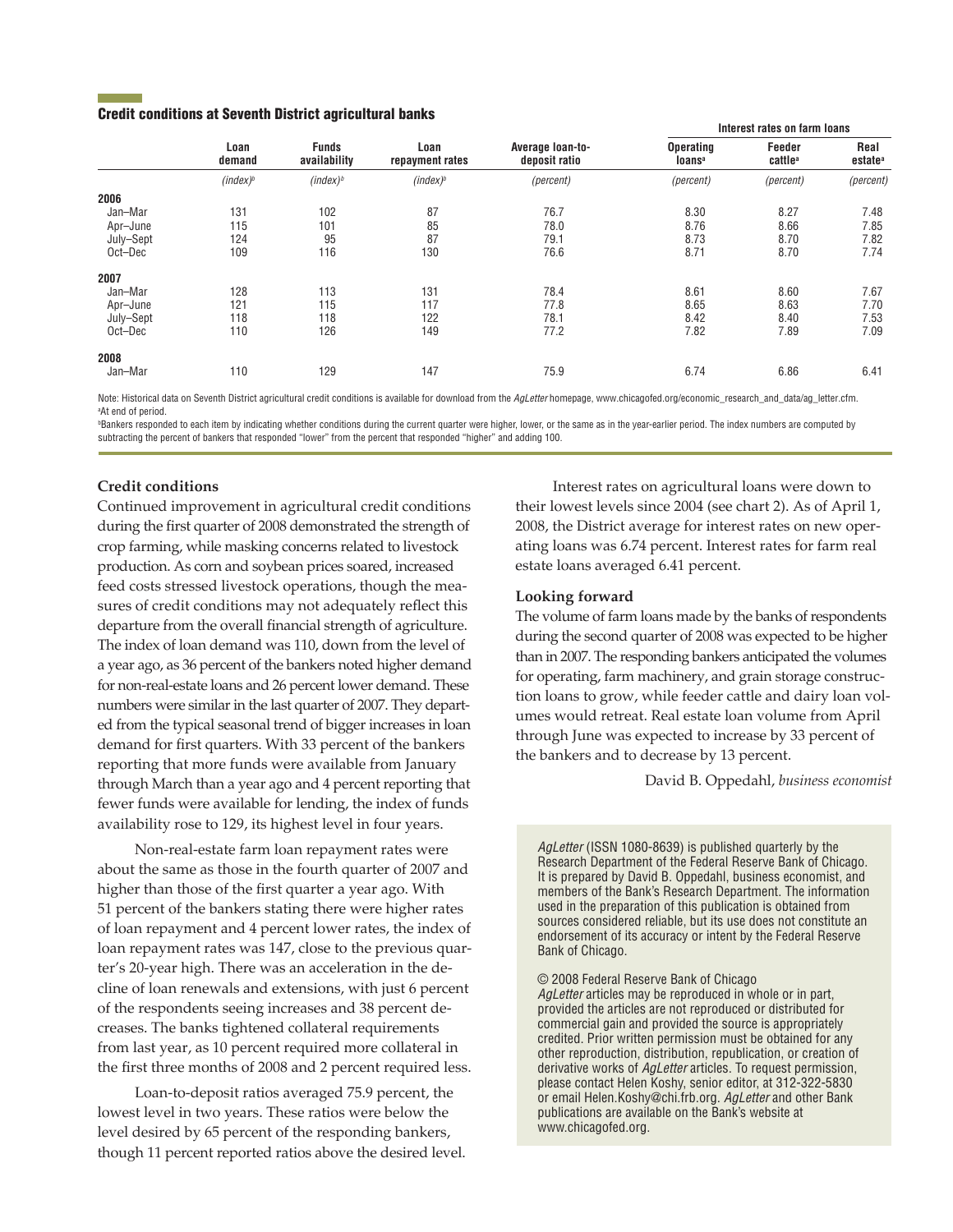#### Credit conditions at Seventh District agricultural banks

|           | Loan<br>demand       | <b>Funds</b><br>availability | Loan<br>repayment rates | Average loan-to-<br>deposit ratio | Interest rates on farm loans           |                               |                             |
|-----------|----------------------|------------------------------|-------------------------|-----------------------------------|----------------------------------------|-------------------------------|-----------------------------|
|           |                      |                              |                         |                                   | <b>Operating</b><br>loans <sup>a</sup> | Feeder<br>cattle <sup>a</sup> | Real<br>estate <sup>a</sup> |
|           | (index) <sup>b</sup> | (index) <sup>b</sup>         | $(index)^b$             | (percent)                         | (percent)                              | (percent)                     | (percent)                   |
| 2006      |                      |                              |                         |                                   |                                        |                               |                             |
| Jan-Mar   | 131                  | 102                          | 87                      | 76.7                              | 8.30                                   | 8.27                          | 7.48                        |
| Apr-June  | 115                  | 101                          | 85                      | 78.0                              | 8.76                                   | 8.66                          | 7.85                        |
| July-Sept | 124                  | 95                           | 87                      | 79.1                              | 8.73                                   | 8.70                          | 7.82                        |
| Oct-Dec   | 109                  | 116                          | 130                     | 76.6                              | 8.71                                   | 8.70                          | 7.74                        |
| 2007      |                      |                              |                         |                                   |                                        |                               |                             |
| Jan-Mar   | 128                  | 113                          | 131                     | 78.4                              | 8.61                                   | 8.60                          | 7.67                        |
| Apr-June  | 121                  | 115                          | 117                     | 77.8                              | 8.65                                   | 8.63                          | 7.70                        |
| July-Sept | 118                  | 118                          | 122                     | 78.1                              | 8.42                                   | 8.40                          | 7.53                        |
| Oct-Dec   | 110                  | 126                          | 149                     | 77.2                              | 7.82                                   | 7.89                          | 7.09                        |
| 2008      |                      |                              |                         |                                   |                                        |                               |                             |
| Jan-Mar   | 110                  | 129                          | 147                     | 75.9                              | 6.74                                   | 6.86                          | 6.41                        |

Note: Historical data on Seventh District agricultural credit conditions is available for download from the *AgLetter* homepage, www.chicagofed.org/economic\_research\_and\_data/ag\_letter.cfm. <sup>a</sup>At end of period.

©Bankers responded to each item by indicating whether conditions during the current quarter were higher, lower, or the same as in the year-earlier period. The index numbers are computed by subtracting the percent of bankers that responded "lower" from the percent that responded "higher" and adding 100.

# **Credit conditions**

Continued improvement in agricultural credit conditions during the first quarter of 2008 demonstrated the strength of crop farming, while masking concerns related to livestock production. As corn and soybean prices soared, increased feed costs stressed livestock operations, though the measures of credit conditions may not adequately reflect this departure from the overall financial strength of agriculture. The index of loan demand was 110, down from the level of a year ago, as 36 percent of the bankers noted higher demand for non-real-estate loans and 26 percent lower demand. These numbers were similar in the last quarter of 2007. They departed from the typical seasonal trend of bigger increases in loan demand for first quarters. With 33 percent of the bankers reporting that more funds were available from January through March than a year ago and 4 percent reporting that fewer funds were available for lending, the index of funds availability rose to 129, its highest level in four years.

Non-real-estate farm loan repayment rates were about the same as those in the fourth quarter of 2007 and higher than those of the first quarter a year ago. With 51 percent of the bankers stating there were higher rates of loan repayment and 4 percent lower rates, the index of loan repayment rates was 147, close to the previous quarter's 20-year high. There was an acceleration in the decline of loan renewals and extensions, with just 6 percent of the respondents seeing increases and 38 percent decreases. The banks tightened collateral requirements from last year, as 10 percent required more collateral in the first three months of 2008 and 2 percent required less.

Loan-to-deposit ratios averaged 75.9 percent, the lowest level in two years. These ratios were below the level desired by 65 percent of the responding bankers, though 11 percent reported ratios above the desired level.

Interest rates on agricultural loans were down to their lowest levels since 2004 (see chart 2). As of April 1, 2008, the District average for interest rates on new operating loans was 6.74 percent. Interest rates for farm real estate loans averaged 6.41 percent.

#### **Looking forward**

The volume of farm loans made by the banks of respondents during the second quarter of 2008 was expected to be higher than in 2007. The responding bankers anticipated the volumes for operating, farm machinery, and grain storage construction loans to grow, while feeder cattle and dairy loan volumes would retreat. Real estate loan volume from April through June was expected to increase by 33 percent of the bankers and to decrease by 13 percent.

David B. Oppedahl, *business economist*

*AgLetter* (ISSN 1080-8639) is published quarterly by the Research Department of the Federal Reserve Bank of Chicago. It is prepared by David B. Oppedahl, business economist, and members of the Bank's Research Department. The information used in the preparation of this publication is obtained from sources considered reliable, but its use does not constitute an endorsement of its accuracy or intent by the Federal Reserve Bank of Chicago.

© 2008 Federal Reserve Bank of Chicago

*AgLetter* articles may be reproduced in whole or in part, provided the articles are not reproduced or distributed for commercial gain and provided the source is appropriately credited. Prior written permission must be obtained for any other reproduction, distribution, republication, or creation of derivative works of *AgLetter* articles. To request permission, please contact Helen Koshy, senior editor, at 312-322-5830 or email Helen.Koshy@chi.frb.org. *AgLetter* and other Bank publications are available on the Bank's website at www.chicagofed.org.